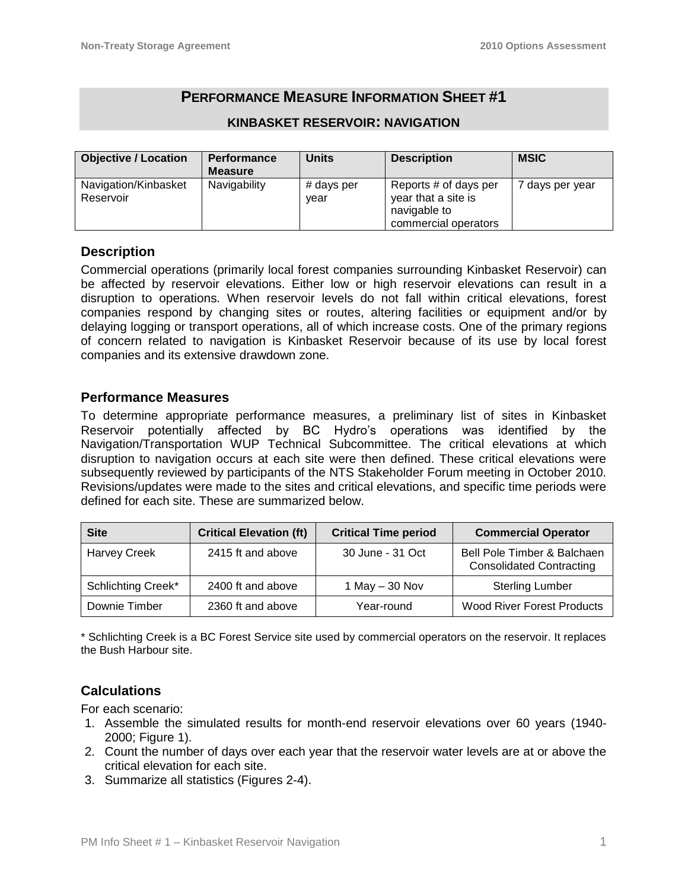# **PERFORMANCE MEASURE INFORMATION SHEET #1**

| <b>Objective / Location</b>       | <b>Performance</b><br><b>Measure</b> | <b>Units</b>       | <b>Description</b>                                                                   | <b>MSIC</b>     |
|-----------------------------------|--------------------------------------|--------------------|--------------------------------------------------------------------------------------|-----------------|
| Navigation/Kinbasket<br>Reservoir | Navigability                         | # days per<br>vear | Reports # of days per<br>year that a site is<br>navigable to<br>commercial operators | 7 days per year |

#### **KINBASKET RESERVOIR: NAVIGATION**

## **Description**

Commercial operations (primarily local forest companies surrounding Kinbasket Reservoir) can be affected by reservoir elevations. Either low or high reservoir elevations can result in a disruption to operations. When reservoir levels do not fall within critical elevations, forest companies respond by changing sites or routes, altering facilities or equipment and/or by delaying logging or transport operations, all of which increase costs. One of the primary regions of concern related to navigation is Kinbasket Reservoir because of its use by local forest companies and its extensive drawdown zone.

## **Performance Measures**

To determine appropriate performance measures, a preliminary list of sites in Kinbasket Reservoir potentially affected by BC Hydro's operations was identified by the Navigation/Transportation WUP Technical Subcommittee. The critical elevations at which disruption to navigation occurs at each site were then defined. These critical elevations were subsequently reviewed by participants of the NTS Stakeholder Forum meeting in October 2010. Revisions/updates were made to the sites and critical elevations, and specific time periods were defined for each site. These are summarized below.

| <b>Site</b>         | <b>Critical Elevation (ft)</b> | <b>Critical Time period</b> | <b>Commercial Operator</b>                                     |
|---------------------|--------------------------------|-----------------------------|----------------------------------------------------------------|
| <b>Harvey Creek</b> | 2415 ft and above              | 30 June - 31 Oct            | Bell Pole Timber & Balchaen<br><b>Consolidated Contracting</b> |
| Schlichting Creek*  | 2400 ft and above              | 1 May $-$ 30 Nov            | <b>Sterling Lumber</b>                                         |
| Downie Timber       | 2360 ft and above              | Year-round                  | <b>Wood River Forest Products</b>                              |

\* Schlichting Creek is a BC Forest Service site used by commercial operators on the reservoir. It replaces the Bush Harbour site.

## **Calculations**

For each scenario:

- 1. Assemble the simulated results for month-end reservoir elevations over 60 years (1940- 2000; Figure 1).
- 2. Count the number of days over each year that the reservoir water levels are at or above the critical elevation for each site.
- 3. Summarize all statistics (Figures 2-4).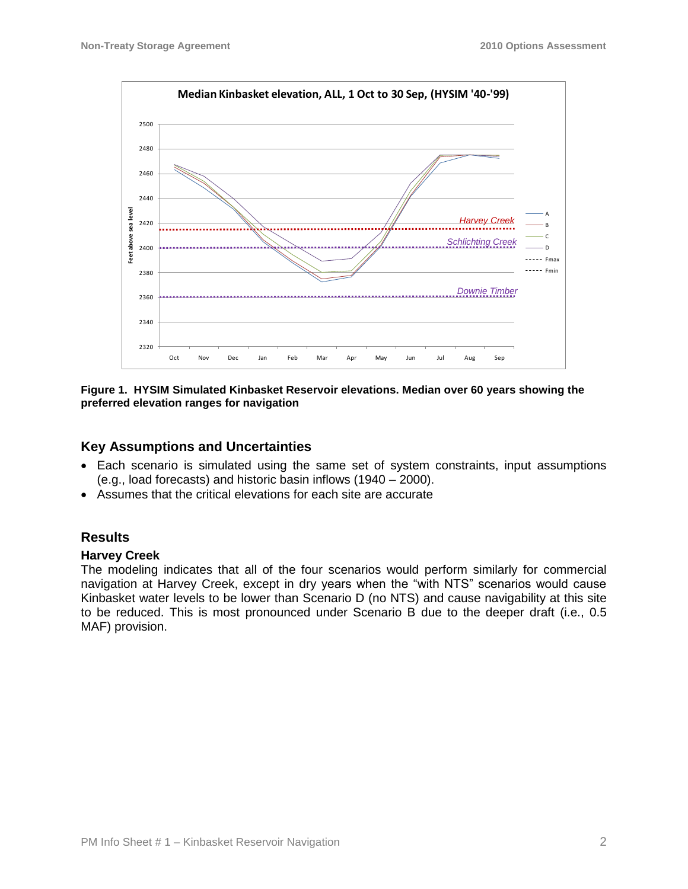

**Figure 1. HYSIM Simulated Kinbasket Reservoir elevations. Median over 60 years showing the preferred elevation ranges for navigation**

## **Key Assumptions and Uncertainties**

- Each scenario is simulated using the same set of system constraints, input assumptions (e.g., load forecasts) and historic basin inflows (1940 – 2000).
- Assumes that the critical elevations for each site are accurate

## **Results**

### **Harvey Creek**

The modeling indicates that all of the four scenarios would perform similarly for commercial navigation at Harvey Creek, except in dry years when the "with NTS" scenarios would cause Kinbasket water levels to be lower than Scenario D (no NTS) and cause navigability at this site to be reduced. This is most pronounced under Scenario B due to the deeper draft (i.e., 0.5 MAF) provision.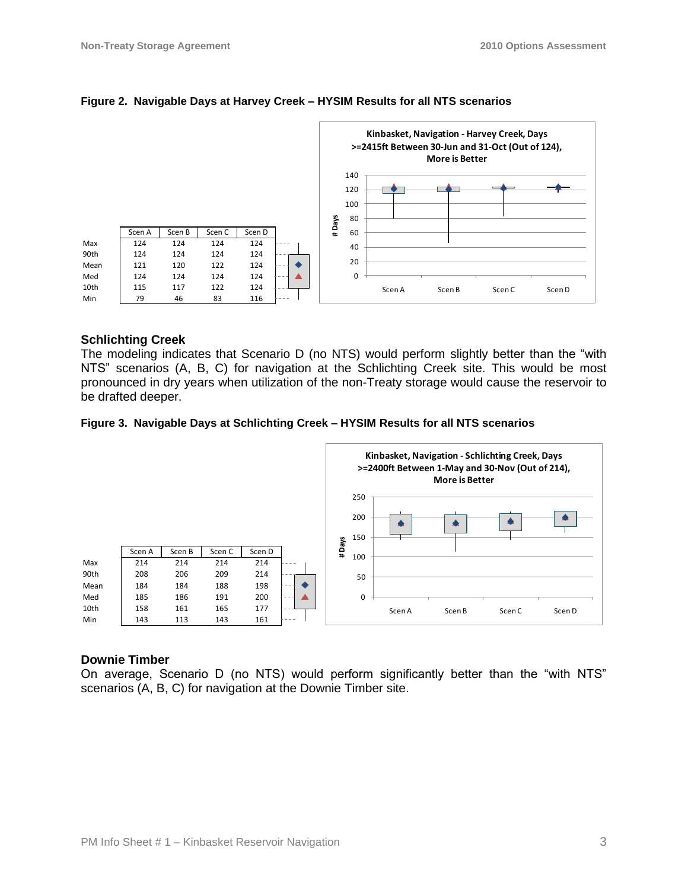

#### **Figure 2. Navigable Days at Harvey Creek – HYSIM Results for all NTS scenarios**

#### **Schlichting Creek**

The modeling indicates that Scenario D (no NTS) would perform slightly better than the "with NTS" scenarios (A, B, C) for navigation at the Schlichting Creek site. This would be most pronounced in dry years when utilization of the non-Treaty storage would cause the reservoir to be drafted deeper.

#### **Figure 3. Navigable Days at Schlichting Creek – HYSIM Results for all NTS scenarios**



#### **Downie Timber**

On average, Scenario D (no NTS) would perform significantly better than the "with NTS" scenarios (A, B, C) for navigation at the Downie Timber site.